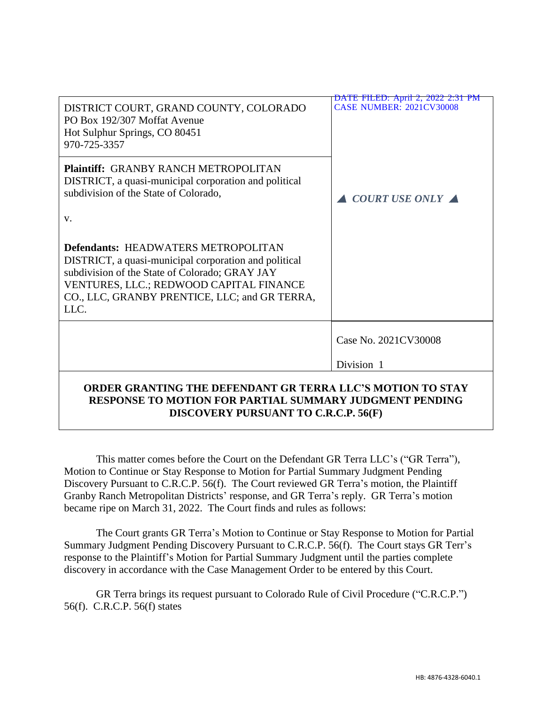| DISTRICT COURT, GRAND COUNTY, COLORADO<br>PO Box 192/307 Moffat Avenue<br>Hot Sulphur Springs, CO 80451<br>970-725-3357                                                                                                                                   | DATE FILED: April 2, 2022 2:31 PM<br><b>CASE NUMBER: 2021CV30008</b> |
|-----------------------------------------------------------------------------------------------------------------------------------------------------------------------------------------------------------------------------------------------------------|----------------------------------------------------------------------|
| <b>Plaintiff: GRANBY RANCH METROPOLITAN</b><br>DISTRICT, a quasi-municipal corporation and political<br>subdivision of the State of Colorado,<br>V.                                                                                                       | <b>COURT USE ONLY</b>                                                |
| <b>Defendants: HEADWATERS METROPOLITAN</b><br>DISTRICT, a quasi-municipal corporation and political<br>subdivision of the State of Colorado; GRAY JAY<br>VENTURES, LLC.; REDWOOD CAPITAL FINANCE<br>CO., LLC, GRANBY PRENTICE, LLC; and GR TERRA,<br>LLC. |                                                                      |
|                                                                                                                                                                                                                                                           | Case No. 2021CV30008                                                 |
|                                                                                                                                                                                                                                                           | Division 1                                                           |
| ORDER GRANTING THE DEFENDANT GR TERRA LLC'S MOTION TO STAY<br><b>RESPONSE TO MOTION FOR PARTIAL SUMMARY JUDGMENT PENDING</b>                                                                                                                              |                                                                      |

## **DISCOVERY PURSUANT TO C.R.C.P. 56(F)**

This matter comes before the Court on the Defendant GR Terra LLC's ("GR Terra"), Motion to Continue or Stay Response to Motion for Partial Summary Judgment Pending Discovery Pursuant to C.R.C.P. 56(f). The Court reviewed GR Terra's motion, the Plaintiff Granby Ranch Metropolitan Districts' response, and GR Terra's reply. GR Terra's motion became ripe on March 31, 2022. The Court finds and rules as follows:

The Court grants GR Terra's Motion to Continue or Stay Response to Motion for Partial Summary Judgment Pending Discovery Pursuant to C.R.C.P. 56(f). The Court stays GR Terr's response to the Plaintiff's Motion for Partial Summary Judgment until the parties complete discovery in accordance with the Case Management Order to be entered by this Court.

GR Terra brings its request pursuant to Colorado Rule of Civil Procedure ("C.R.C.P.") 56(f). C.R.C.P. 56(f) states